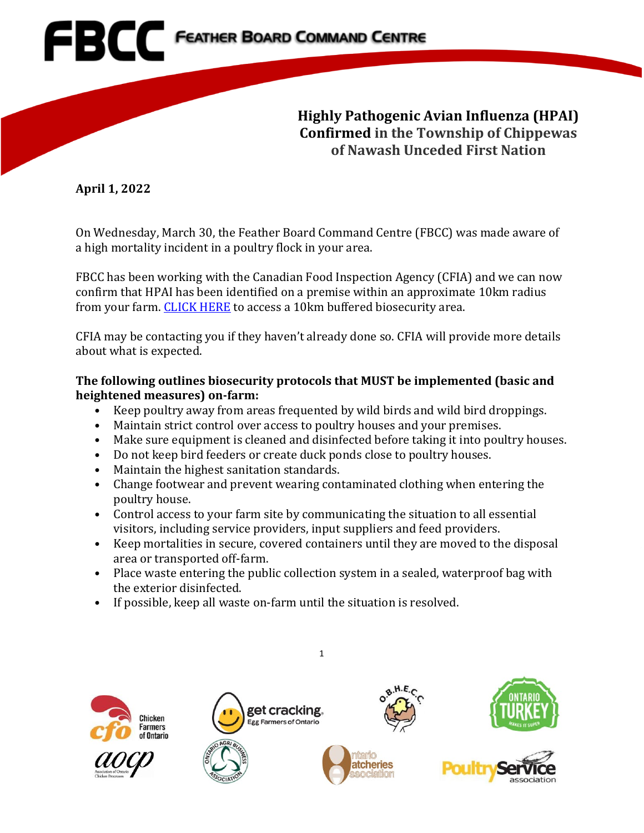**Highly Pathogenic Avian Influenza (HPAI) Confirmed in the Township of Chippewas of Nawash Unceded First Nation**

**April 1, 2022**

On Wednesday, March 30, the Feather Board Command Centre (FBCC) was made aware of a high mortality incident in a poultry flock in your area.

FBCC has been working with the Canadian Food Inspection Agency (CFIA) and we can now confirm that HPAI has been identified on a premise within an approximate 10km radius from your farm. [CLICK HERE](https://www.fbcc.ca/high-mortality-situation-bruce/public-map) to access a 10km buffered biosecurity area.

CFIA may be contacting you if they haven't already done so. CFIA will provide more details about what is expected.

## **The following outlines biosecurity protocols that MUST be implemented (basic and heightened measures) on-farm:**

- Keep poultry away from areas frequented by wild birds and wild bird droppings.
- Maintain strict control over access to poultry houses and your premises.
- Make sure equipment is cleaned and disinfected before taking it into poultry houses.
- Do not keep bird feeders or create duck ponds close to poultry houses.
- Maintain the highest sanitation standards.
- Change footwear and prevent wearing contaminated clothing when entering the poultry house.
- Control access to your farm site by communicating the situation to all essential visitors, including service providers, input suppliers and feed providers.
- Keep mortalities in secure, covered containers until they are moved to the disposal area or transported off-farm.
- Place waste entering the public collection system in a sealed, waterproof bag with the exterior disinfected.

1

 $8.$ H.E.

• If possible, keep all waste on-farm until the situation is resolved.